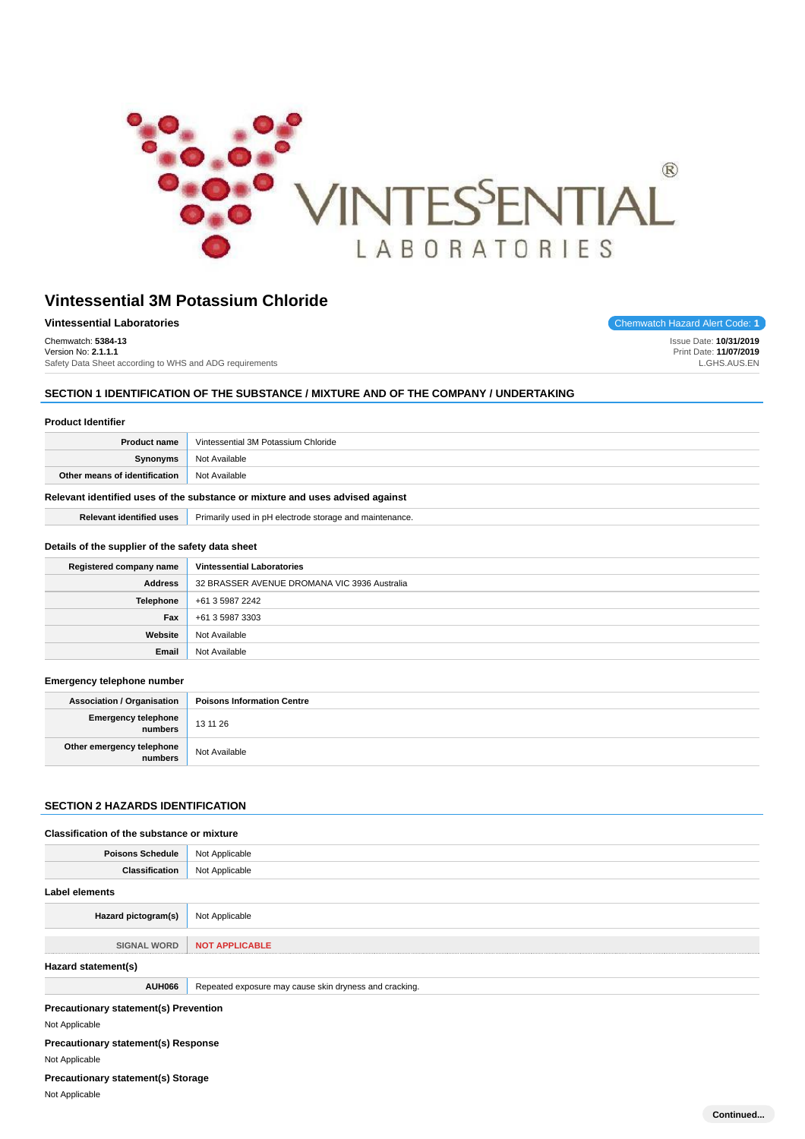

| Vintessential Laboratories                              | Chemwatch Hazard Alert Code: 1 |
|---------------------------------------------------------|--------------------------------|
| Chemwatch: 5384-13                                      | Issue Date: 10/31/2019         |
| Version No: 2.1.1.1                                     | Print Date: 11/07/2019         |
| Safety Data Sheet according to WHS and ADG requirements | L.GHS.AUS.EN                   |

## **SECTION 1 IDENTIFICATION OF THE SUBSTANCE / MIXTURE AND OF THE COMPANY / UNDERTAKING**

| <b>Product Identifier</b>                                                                                        |                                                                               |  |  |
|------------------------------------------------------------------------------------------------------------------|-------------------------------------------------------------------------------|--|--|
| <b>Product name</b>                                                                                              | Vintessential 3M Potassium Chloride                                           |  |  |
| Synonyms                                                                                                         | Not Available                                                                 |  |  |
| Other means of identification                                                                                    | Not Available                                                                 |  |  |
|                                                                                                                  | Relevant identified uses of the substance or mixture and uses advised against |  |  |
| <b>Relevant identified uses</b>                                                                                  | Primarily used in pH electrode storage and maintenance.                       |  |  |
| Details of the supplier of the safety data sheet<br>Registered company name<br><b>Vintessential Laboratories</b> |                                                                               |  |  |
| <b>Address</b>                                                                                                   | 32 BRASSER AVENUE DROMANA VIC 3936 Australia                                  |  |  |
| Telephone                                                                                                        | +61 3 5987 2242                                                               |  |  |
| Fax                                                                                                              | +61 3 5987 3303                                                               |  |  |
| Website                                                                                                          | Not Available                                                                 |  |  |
| Email                                                                                                            | Not Available                                                                 |  |  |

### **Emergency telephone number**

| <b>Association / Organisation</b>    | <b>Poisons Information Centre</b> |
|--------------------------------------|-----------------------------------|
| Emergency telephone<br>numbers       | 13 11 26                          |
| Other emergency telephone<br>numbers | Not Available                     |

## **SECTION 2 HAZARDS IDENTIFICATION**

## **Classification of the substance or mixture**

| <b>Poisons Schedule</b>                      | Not Applicable                                         |
|----------------------------------------------|--------------------------------------------------------|
| <b>Classification</b>                        | Not Applicable                                         |
| Label elements                               |                                                        |
| Hazard pictogram(s)                          | Not Applicable                                         |
| <b>SIGNAL WORD</b>                           | <b>NOT APPLICABLE</b>                                  |
| Hazard statement(s)                          |                                                        |
| <b>AUH066</b>                                | Repeated exposure may cause skin dryness and cracking. |
| <b>Precautionary statement(s) Prevention</b> |                                                        |
| Not Applicable                               |                                                        |
| <b>Precautionary statement(s) Response</b>   |                                                        |
| Not Applicable                               |                                                        |

**Precautionary statement(s) Storage**

Not Applicable

**Hazard Alert Code: 1**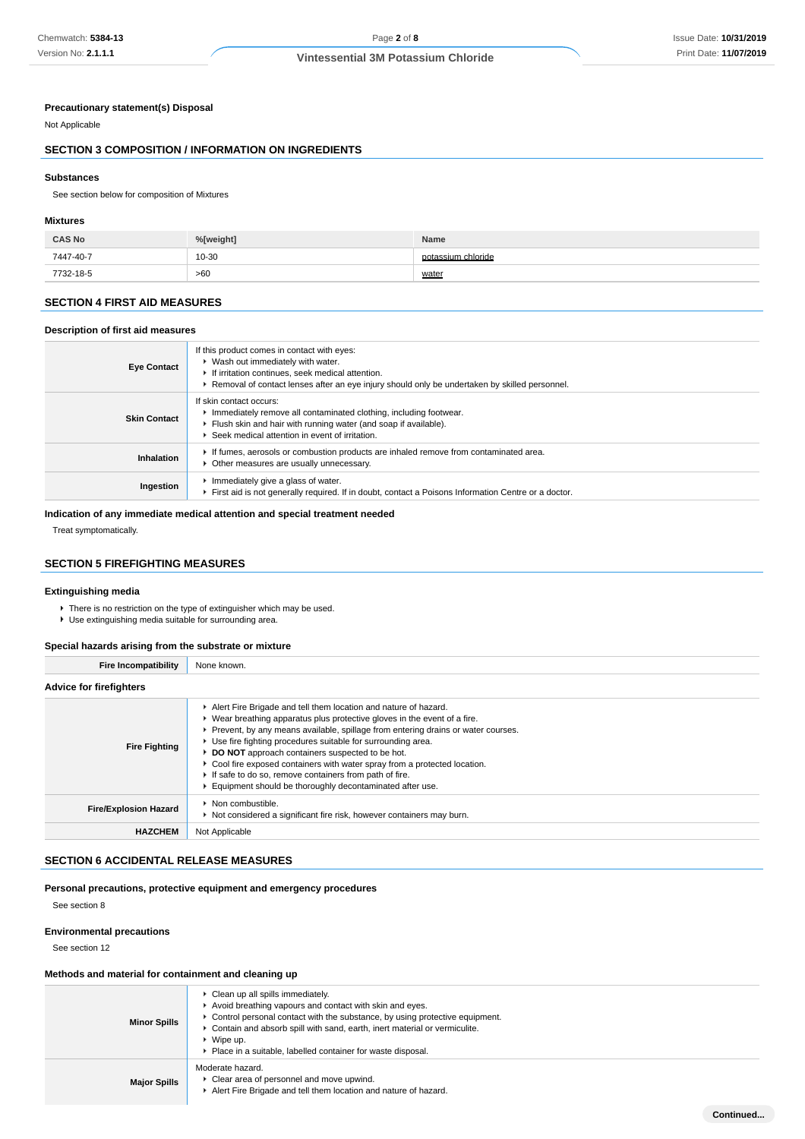### **Precautionary statement(s) Disposal**

Not Applicable

## **SECTION 3 COMPOSITION / INFORMATION ON INGREDIENTS**

#### **Substances**

See section below for composition of Mixtures

### **Mixtures**

| <b>CAS No</b> | %[weight] | Name               |
|---------------|-----------|--------------------|
| 7447-40-7     | 10-30     | potassium chloride |
| 7732-18-5     | >60       | water              |

## **SECTION 4 FIRST AID MEASURES**

### **Description of first aid measures**

| <b>Eye Contact</b>  | If this product comes in contact with eyes:<br>▶ Wash out immediately with water.<br>If irritation continues, seek medical attention.<br>► Removal of contact lenses after an eye injury should only be undertaken by skilled personnel. |
|---------------------|------------------------------------------------------------------------------------------------------------------------------------------------------------------------------------------------------------------------------------------|
| <b>Skin Contact</b> | If skin contact occurs:<br>Immediately remove all contaminated clothing, including footwear.<br>Flush skin and hair with running water (and soap if available).<br>▶ Seek medical attention in event of irritation.                      |
| Inhalation          | If fumes, aerosols or combustion products are inhaled remove from contaminated area.<br>Other measures are usually unnecessary.                                                                                                          |
| Ingestion           | Immediately give a glass of water.<br>First aid is not generally required. If in doubt, contact a Poisons Information Centre or a doctor.                                                                                                |

## **Indication of any immediate medical attention and special treatment needed**

Treat symptomatically.

## **SECTION 5 FIREFIGHTING MEASURES**

#### **Extinguishing media**

- There is no restriction on the type of extinguisher which may be used.
- Use extinguishing media suitable for surrounding area.

## **Special hazards arising from the substrate or mixture**

| <b>Fire Incompatibility</b>    | None known.                                                                                                                                                                                                                                                                                                                                                                                                                                                                                                                                                |
|--------------------------------|------------------------------------------------------------------------------------------------------------------------------------------------------------------------------------------------------------------------------------------------------------------------------------------------------------------------------------------------------------------------------------------------------------------------------------------------------------------------------------------------------------------------------------------------------------|
| <b>Advice for firefighters</b> |                                                                                                                                                                                                                                                                                                                                                                                                                                                                                                                                                            |
| <b>Fire Fighting</b>           | Alert Fire Brigade and tell them location and nature of hazard.<br>▶ Wear breathing apparatus plus protective gloves in the event of a fire.<br>▶ Prevent, by any means available, spillage from entering drains or water courses.<br>▶ Use fire fighting procedures suitable for surrounding area.<br>DO NOT approach containers suspected to be hot.<br>• Cool fire exposed containers with water spray from a protected location.<br>If safe to do so, remove containers from path of fire.<br>Equipment should be thoroughly decontaminated after use. |
| <b>Fire/Explosion Hazard</b>   | ▶ Non combustible.<br>▶ Not considered a significant fire risk, however containers may burn.                                                                                                                                                                                                                                                                                                                                                                                                                                                               |
| <b>HAZCHEM</b>                 | Not Applicable                                                                                                                                                                                                                                                                                                                                                                                                                                                                                                                                             |

## **SECTION 6 ACCIDENTAL RELEASE MEASURES**

### **Personal precautions, protective equipment and emergency procedures**

See section 8

#### **Environmental precautions**

See section 12

### **Methods and material for containment and cleaning up**

| <b>Minor Spills</b> | $\triangleright$ Clean up all spills immediately.<br>Avoid breathing vapours and contact with skin and eyes.<br>Control personal contact with the substance, by using protective equipment.<br>Contain and absorb spill with sand, earth, inert material or vermiculite.<br>$\triangleright$ Wipe up.<br>Place in a suitable, labelled container for waste disposal. |           |
|---------------------|----------------------------------------------------------------------------------------------------------------------------------------------------------------------------------------------------------------------------------------------------------------------------------------------------------------------------------------------------------------------|-----------|
| <b>Major Spills</b> | Moderate hazard.<br>• Clear area of personnel and move upwind.<br>Alert Fire Brigade and tell them location and nature of hazard.                                                                                                                                                                                                                                    |           |
|                     |                                                                                                                                                                                                                                                                                                                                                                      | Continued |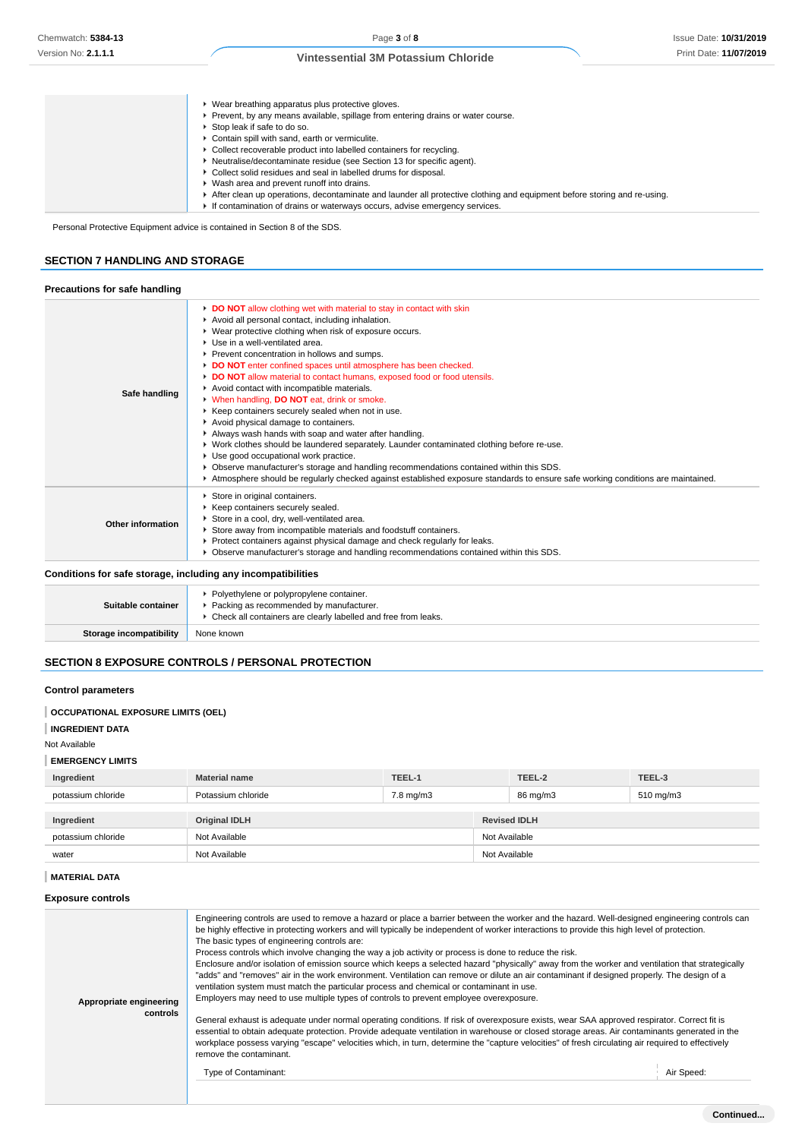| ▶ Wear breathing apparatus plus protective gloves.                                                                      |
|-------------------------------------------------------------------------------------------------------------------------|
| Prevent, by any means available, spillage from entering drains or water course.                                         |
| ▶ Stop leak if safe to do so.                                                                                           |
| • Contain spill with sand, earth or vermiculite.                                                                        |
| • Collect recoverable product into labelled containers for recycling.                                                   |
| • Neutralise/decontaminate residue (see Section 13 for specific agent).                                                 |
| ▶ Collect solid residues and seal in labelled drums for disposal.                                                       |
| ▶ Wash area and prevent runoff into drains.                                                                             |
| After clean up operations, decontaminate and launder all protective clothing and equipment before storing and re-using. |
| If contamination of drains or waterways occurs, advise emergency services.                                              |

Personal Protective Equipment advice is contained in Section 8 of the SDS.

## **SECTION 7 HANDLING AND STORAGE**

## **Precautions for safe handling**

|                          | DO NOT allow clothing wet with material to stay in contact with skin                                                              |
|--------------------------|-----------------------------------------------------------------------------------------------------------------------------------|
|                          | Avoid all personal contact, including inhalation.                                                                                 |
|                          | ▶ Wear protective clothing when risk of exposure occurs.                                                                          |
|                          | Use in a well-ventilated area.                                                                                                    |
|                          | Prevent concentration in hollows and sumps.                                                                                       |
|                          | DO NOT enter confined spaces until atmosphere has been checked.                                                                   |
|                          | DO NOT allow material to contact humans, exposed food or food utensils.                                                           |
|                          | Avoid contact with incompatible materials.                                                                                        |
| Safe handling            | V When handling, DO NOT eat, drink or smoke.                                                                                      |
|                          | ▶ Keep containers securely sealed when not in use.                                                                                |
|                          | Avoid physical damage to containers.                                                                                              |
|                          | Always wash hands with soap and water after handling.                                                                             |
|                          | ▶ Work clothes should be laundered separately. Launder contaminated clothing before re-use.                                       |
|                          | Use good occupational work practice.                                                                                              |
|                          | ▶ Observe manufacturer's storage and handling recommendations contained within this SDS.                                          |
|                          | ► Atmosphere should be regularly checked against established exposure standards to ensure safe working conditions are maintained. |
|                          | Store in original containers.                                                                                                     |
|                          | Keep containers securely sealed.                                                                                                  |
|                          | Store in a cool, dry, well-ventilated area.                                                                                       |
| <b>Other information</b> | Store away from incompatible materials and foodstuff containers.                                                                  |
|                          | ▶ Protect containers against physical damage and check regularly for leaks.                                                       |
|                          | ► Observe manufacturer's storage and handling recommendations contained within this SDS.                                          |

#### **Conditions for safe storage, including any incompatibilities**

| Suitable container      | ▶ Polyethylene or polypropylene container.<br>Packing as recommended by manufacturer.<br>Check all containers are clearly labelled and free from leaks. |
|-------------------------|---------------------------------------------------------------------------------------------------------------------------------------------------------|
| Storage incompatibility | None known                                                                                                                                              |

## **SECTION 8 EXPOSURE CONTROLS / PERSONAL PROTECTION**

### **Control parameters**

| <b>OCCUPATIONAL EXPOSURE LIMITS (OEL)</b> |  |
|-------------------------------------------|--|
|                                           |  |
|                                           |  |

## **INGREDIENT DATA**

#### Not Available

#### **EMERGENCY LIMITS**

| ___________________________ |                      |           |               |                     |                |
|-----------------------------|----------------------|-----------|---------------|---------------------|----------------|
| Ingredient                  | <b>Material name</b> | TEEL-1    |               | TEEL-2              | TEEL-3         |
| potassium chloride          | Potassium chloride   | 7.8 mg/m3 |               | 86 mg/m3            | $510$ mg/m $3$ |
|                             |                      |           |               |                     |                |
| Ingredient                  | <b>Original IDLH</b> |           |               | <b>Revised IDLH</b> |                |
| potassium chloride          | Not Available        |           |               | Not Available       |                |
| water                       | Not Available        |           | Not Available |                     |                |

## **MATERIAL DATA**

## **Exposure controls**

| Appropriate engineering<br>controls | Engineering controls are used to remove a hazard or place a barrier between the worker and the hazard. Well-designed engineering controls can<br>be highly effective in protecting workers and will typically be independent of worker interactions to provide this high level of protection.<br>The basic types of engineering controls are:<br>Process controls which involve changing the way a job activity or process is done to reduce the risk.<br>Enclosure and/or isolation of emission source which keeps a selected hazard "physically" away from the worker and ventilation that strategically<br>"adds" and "removes" air in the work environment. Ventilation can remove or dilute an air contaminant if designed properly. The design of a<br>ventilation system must match the particular process and chemical or contaminant in use.<br>Employers may need to use multiple types of controls to prevent employee overexposure.<br>General exhaust is adequate under normal operating conditions. If risk of overexposure exists, wear SAA approved respirator. Correct fit is<br>essential to obtain adequate protection. Provide adequate ventilation in warehouse or closed storage areas. Air contaminants generated in the<br>workplace possess varying "escape" velocities which, in turn, determine the "capture velocities" of fresh circulating air required to effectively<br>remove the contaminant. |            |
|-------------------------------------|---------------------------------------------------------------------------------------------------------------------------------------------------------------------------------------------------------------------------------------------------------------------------------------------------------------------------------------------------------------------------------------------------------------------------------------------------------------------------------------------------------------------------------------------------------------------------------------------------------------------------------------------------------------------------------------------------------------------------------------------------------------------------------------------------------------------------------------------------------------------------------------------------------------------------------------------------------------------------------------------------------------------------------------------------------------------------------------------------------------------------------------------------------------------------------------------------------------------------------------------------------------------------------------------------------------------------------------------------------------------------------------------------------------------------------|------------|
|                                     | Type of Contaminant:                                                                                                                                                                                                                                                                                                                                                                                                                                                                                                                                                                                                                                                                                                                                                                                                                                                                                                                                                                                                                                                                                                                                                                                                                                                                                                                                                                                                            | Air Speed: |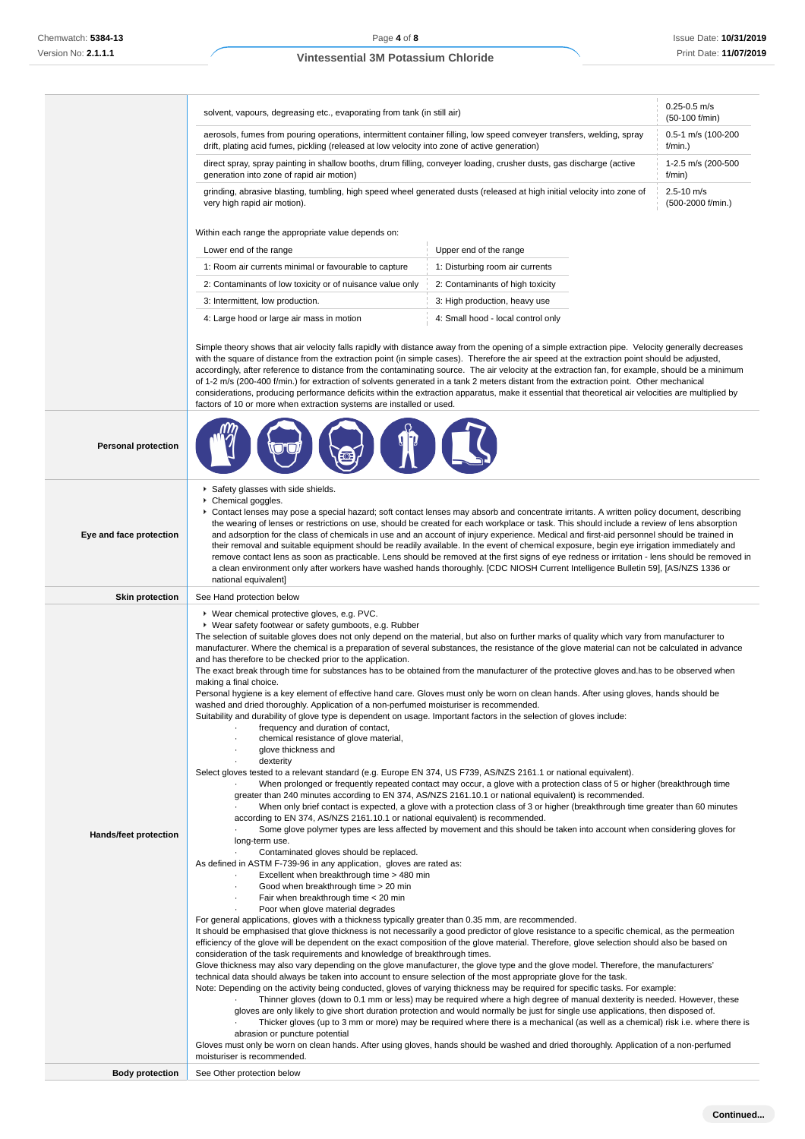| solvent, vapours, degreasing etc., evaporating from tank (in still air)                                                                                                                                                | $0.25 - 0.5$ m/s<br>(50-100 f/min)  |
|------------------------------------------------------------------------------------------------------------------------------------------------------------------------------------------------------------------------|-------------------------------------|
| aerosols, fumes from pouring operations, intermittent container filling, low speed conveyer transfers, welding, spray<br>drift, plating acid fumes, pickling (released at low velocity into zone of active generation) | 0.5-1 m/s (100-200<br>$f/min.$ )    |
| direct spray, spray painting in shallow booths, drum filling, conveyer loading, crusher dusts, gas discharge (active<br>generation into zone of rapid air motion)                                                      | 1-2.5 m/s (200-500<br>f/min)        |
| grinding, abrasive blasting, tumbling, high speed wheel generated dusts (released at high initial velocity into zone of<br>very high rapid air motion).                                                                | $2.5 - 10$ m/s<br>(500-2000 f/min.) |
| Within each range the appropriate value depends on:                                                                                                                                                                    |                                     |

| Lower end of the range                                    | Upper end of the range             |
|-----------------------------------------------------------|------------------------------------|
| 1: Room air currents minimal or favourable to capture     | 1: Disturbing room air currents    |
| 2: Contaminants of low toxicity or of nuisance value only | 2: Contaminants of high toxicity   |
| 3: Intermittent, low production.                          | 3: High production, heavy use      |
| 4: Large hood or large air mass in motion                 | 4: Small hood - local control only |

Simple theory shows that air velocity falls rapidly with distance away from the opening of a simple extraction pipe. Velocity generally decreases with the square of distance from the extraction point (in simple cases). Therefore the air speed at the extraction point should be adjusted, accordingly, after reference to distance from the contaminating source. The air velocity at the extraction fan, for example, should be a minimum of 1-2 m/s (200-400 f/min.) for extraction of solvents generated in a tank 2 meters distant from the extraction point. Other mechanical considerations, producing performance deficits within the extraction apparatus, make it essential that theoretical air velocities are multiplied by factors of 10 or more when extraction systems are installed or used.

| <b>Personal protection</b>                      |                                                                                                                                                                                                                                                                                                                                                                                                                                                                                                                                                                                                                                                                                                                                                                                                                                                                                                                                                                                                                                                                                                                                                                                                                                                                                                                                                                                                                                                                                                                                                                                                                                                                                                                                                                                                                                                                                                                                                                                                                                                                                                                                                                                                                                                                                                                                                                                                                                                                                                                                                                                                                                                                                                                                                                                                                                                                                                                                                                                                                                                                                                                                                                                                                                                                                                                                                                                                                                                                                                                                                                                                                                                                                        |
|-------------------------------------------------|----------------------------------------------------------------------------------------------------------------------------------------------------------------------------------------------------------------------------------------------------------------------------------------------------------------------------------------------------------------------------------------------------------------------------------------------------------------------------------------------------------------------------------------------------------------------------------------------------------------------------------------------------------------------------------------------------------------------------------------------------------------------------------------------------------------------------------------------------------------------------------------------------------------------------------------------------------------------------------------------------------------------------------------------------------------------------------------------------------------------------------------------------------------------------------------------------------------------------------------------------------------------------------------------------------------------------------------------------------------------------------------------------------------------------------------------------------------------------------------------------------------------------------------------------------------------------------------------------------------------------------------------------------------------------------------------------------------------------------------------------------------------------------------------------------------------------------------------------------------------------------------------------------------------------------------------------------------------------------------------------------------------------------------------------------------------------------------------------------------------------------------------------------------------------------------------------------------------------------------------------------------------------------------------------------------------------------------------------------------------------------------------------------------------------------------------------------------------------------------------------------------------------------------------------------------------------------------------------------------------------------------------------------------------------------------------------------------------------------------------------------------------------------------------------------------------------------------------------------------------------------------------------------------------------------------------------------------------------------------------------------------------------------------------------------------------------------------------------------------------------------------------------------------------------------------------------------------------------------------------------------------------------------------------------------------------------------------------------------------------------------------------------------------------------------------------------------------------------------------------------------------------------------------------------------------------------------------------------------------------------------------------------------------------------------------|
| Eye and face protection                         | Safety glasses with side shields.<br>Chemical goggles.<br>► Contact lenses may pose a special hazard; soft contact lenses may absorb and concentrate irritants. A written policy document, describing<br>the wearing of lenses or restrictions on use, should be created for each workplace or task. This should include a review of lens absorption<br>and adsorption for the class of chemicals in use and an account of injury experience. Medical and first-aid personnel should be trained in<br>their removal and suitable equipment should be readily available. In the event of chemical exposure, begin eye irrigation immediately and<br>remove contact lens as soon as practicable. Lens should be removed at the first signs of eye redness or irritation - lens should be removed in<br>a clean environment only after workers have washed hands thoroughly. [CDC NIOSH Current Intelligence Bulletin 59], [AS/NZS 1336 or<br>national equivalent]                                                                                                                                                                                                                                                                                                                                                                                                                                                                                                                                                                                                                                                                                                                                                                                                                                                                                                                                                                                                                                                                                                                                                                                                                                                                                                                                                                                                                                                                                                                                                                                                                                                                                                                                                                                                                                                                                                                                                                                                                                                                                                                                                                                                                                                                                                                                                                                                                                                                                                                                                                                                                                                                                                                        |
| <b>Skin protection</b>                          | See Hand protection below                                                                                                                                                                                                                                                                                                                                                                                                                                                                                                                                                                                                                                                                                                                                                                                                                                                                                                                                                                                                                                                                                                                                                                                                                                                                                                                                                                                                                                                                                                                                                                                                                                                                                                                                                                                                                                                                                                                                                                                                                                                                                                                                                                                                                                                                                                                                                                                                                                                                                                                                                                                                                                                                                                                                                                                                                                                                                                                                                                                                                                                                                                                                                                                                                                                                                                                                                                                                                                                                                                                                                                                                                                                              |
| Hands/feet protection<br><b>Body protection</b> | ▶ Wear chemical protective gloves, e.g. PVC.<br>▶ Wear safety footwear or safety gumboots, e.g. Rubber<br>The selection of suitable gloves does not only depend on the material, but also on further marks of quality which vary from manufacturer to<br>manufacturer. Where the chemical is a preparation of several substances, the resistance of the glove material can not be calculated in advance<br>and has therefore to be checked prior to the application.<br>The exact break through time for substances has to be obtained from the manufacturer of the protective gloves and has to be observed when<br>making a final choice.<br>Personal hygiene is a key element of effective hand care. Gloves must only be worn on clean hands. After using gloves, hands should be<br>washed and dried thoroughly. Application of a non-perfumed moisturiser is recommended.<br>Suitability and durability of glove type is dependent on usage. Important factors in the selection of gloves include:<br>frequency and duration of contact,<br>chemical resistance of glove material,<br>glove thickness and<br>dexterity<br>Select gloves tested to a relevant standard (e.g. Europe EN 374, US F739, AS/NZS 2161.1 or national equivalent).<br>When prolonged or frequently repeated contact may occur, a glove with a protection class of 5 or higher (breakthrough time<br>greater than 240 minutes according to EN 374, AS/NZS 2161.10.1 or national equivalent) is recommended.<br>When only brief contact is expected, a glove with a protection class of 3 or higher (breakthrough time greater than 60 minutes<br>according to EN 374, AS/NZS 2161.10.1 or national equivalent) is recommended.<br>Some glove polymer types are less affected by movement and this should be taken into account when considering gloves for<br>long-term use.<br>Contaminated gloves should be replaced.<br>As defined in ASTM F-739-96 in any application, gloves are rated as:<br>Excellent when breakthrough time > 480 min<br>Good when breakthrough time > 20 min<br>Fair when breakthrough time < 20 min<br>Poor when glove material degrades<br>For general applications, gloves with a thickness typically greater than 0.35 mm, are recommended.<br>It should be emphasised that glove thickness is not necessarily a good predictor of glove resistance to a specific chemical, as the permeation<br>efficiency of the glove will be dependent on the exact composition of the glove material. Therefore, glove selection should also be based on<br>consideration of the task requirements and knowledge of breakthrough times.<br>Glove thickness may also vary depending on the glove manufacturer, the glove type and the glove model. Therefore, the manufacturers'<br>technical data should always be taken into account to ensure selection of the most appropriate glove for the task.<br>Note: Depending on the activity being conducted, gloves of varying thickness may be required for specific tasks. For example:<br>Thinner gloves (down to 0.1 mm or less) may be required where a high degree of manual dexterity is needed. However, these<br>gloves are only likely to give short duration protection and would normally be just for single use applications, then disposed of.<br>Thicker gloves (up to 3 mm or more) may be required where there is a mechanical (as well as a chemical) risk i.e. where there is<br>abrasion or puncture potential<br>Gloves must only be worn on clean hands. After using gloves, hands should be washed and dried thoroughly. Application of a non-perfumed<br>moisturiser is recommended.<br>See Other protection below |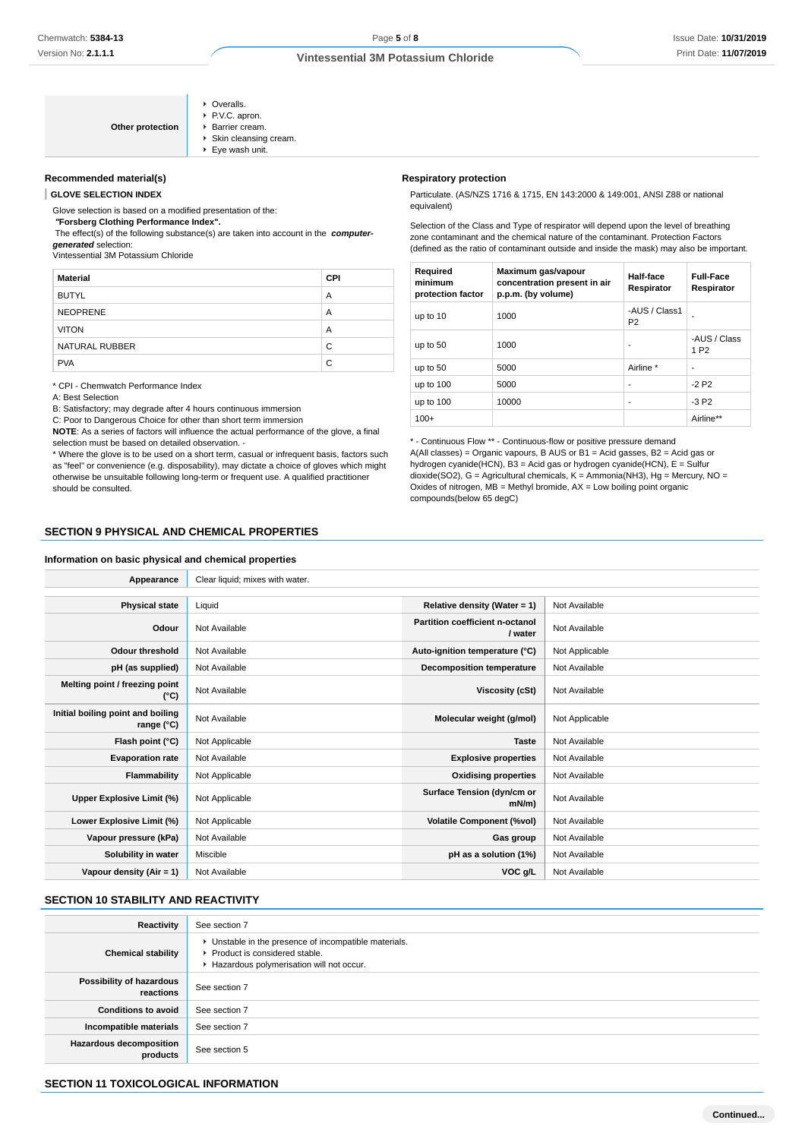| Other protection | • Overalls.<br>P.V.C. apron.<br>▶ Barrier cream.<br>Skin cleansing cream.<br>▶ Eye wash unit. |
|------------------|-----------------------------------------------------------------------------------------------|
|------------------|-----------------------------------------------------------------------------------------------|

### **Recommended material(s)**

**GLOVE SELECTION INDEX**

Glove selection is based on a modified presentation of the:

 **"Forsberg Clothing Performance Index".**

 The effect(s) of the following substance(s) are taken into account in the **computergenerated** selection:

Vintessential 3M Potassium Chloride

| <b>Material</b> | <b>CPI</b> |
|-----------------|------------|
| <b>BUTYL</b>    | A          |
| <b>NEOPRENE</b> | A          |
| <b>VITON</b>    | A          |
| NATURAL RUBBER  | C          |
| <b>PVA</b>      | C          |

\* CPI - Chemwatch Performance Index

A: Best Selection

B: Satisfactory; may degrade after 4 hours continuous immersion

C: Poor to Dangerous Choice for other than short term immersion

**NOTE**: As a series of factors will influence the actual performance of the glove, a final selection must be based on detailed observation. -

\* Where the glove is to be used on a short term, casual or infrequent basis, factors such as "feel" or convenience (e.g. disposability), may dictate a choice of gloves which might otherwise be unsuitable following long-term or frequent use. A qualified practitioner should be consulted.

#### **Respiratory protection**

Particulate. (AS/NZS 1716 & 1715, EN 143:2000 & 149:001, ANSI Z88 or national equivalent)

Selection of the Class and Type of respirator will depend upon the level of breathing zone contaminant and the chemical nature of the contaminant. Protection Factors (defined as the ratio of contaminant outside and inside the mask) may also be important.

| Required<br>minimum<br>protection factor | Maximum gas/vapour<br>concentration present in air<br>p.p.m. (by volume) | Half-face<br>Respirator         | <b>Full-Face</b><br>Respirator   |
|------------------------------------------|--------------------------------------------------------------------------|---------------------------------|----------------------------------|
| up to 10                                 | 1000                                                                     | -AUS / Class1<br>P <sub>2</sub> |                                  |
| up to 50                                 | 1000                                                                     | ۰                               | -AUS / Class<br>1 P <sub>2</sub> |
| up to 50                                 | 5000                                                                     | Airline *                       | ۰                                |
| up to 100                                | 5000                                                                     | ۰                               | $-2P2$                           |
| up to 100                                | 10000                                                                    | ۰                               | $-3P2$                           |
| $100+$                                   |                                                                          |                                 | Airline**                        |

\* - Continuous Flow \*\* - Continuous-flow or positive pressure demand A(All classes) = Organic vapours, B AUS or B1 = Acid gasses, B2 = Acid gas or hydrogen cyanide(HCN), B3 = Acid gas or hydrogen cyanide(HCN), E = Sulfur dioxide(SO2), G = Agricultural chemicals, K = Ammonia(NH3), Hg = Mercury, NO = Oxides of nitrogen,  $MB =$  Methyl bromide,  $AX =$  Low boiling point organic compounds(below 65 degC)

### **SECTION 9 PHYSICAL AND CHEMICAL PROPERTIES**

#### **Information on basic physical and chemical properties**

| Appearance                                      | Clear liquid; mixes with water. |                                            |                |
|-------------------------------------------------|---------------------------------|--------------------------------------------|----------------|
|                                                 |                                 |                                            |                |
| <b>Physical state</b>                           | Liquid                          | Relative density (Water = 1)               | Not Available  |
| Odour                                           | Not Available                   | Partition coefficient n-octanol<br>/ water | Not Available  |
| <b>Odour threshold</b>                          | Not Available                   | Auto-ignition temperature (°C)             | Not Applicable |
| pH (as supplied)                                | Not Available                   | <b>Decomposition temperature</b>           | Not Available  |
| Melting point / freezing point<br>(°C)          | Not Available                   | Viscosity (cSt)                            | Not Available  |
| Initial boiling point and boiling<br>range (°C) | Not Available                   | Molecular weight (g/mol)                   | Not Applicable |
| Flash point (°C)                                | Not Applicable                  | <b>Taste</b>                               | Not Available  |
| <b>Evaporation rate</b>                         | Not Available                   | <b>Explosive properties</b>                | Not Available  |
| Flammability                                    | Not Applicable                  | <b>Oxidising properties</b>                | Not Available  |
| Upper Explosive Limit (%)                       | Not Applicable                  | Surface Tension (dyn/cm or<br>$mN/m$ )     | Not Available  |
| Lower Explosive Limit (%)                       | Not Applicable                  | <b>Volatile Component (%vol)</b>           | Not Available  |
| Vapour pressure (kPa)                           | Not Available                   | Gas group                                  | Not Available  |
| Solubility in water                             | Miscible                        | pH as a solution (1%)                      | Not Available  |
| Vapour density (Air = 1)                        | Not Available                   | VOC g/L                                    | Not Available  |

## **SECTION 10 STABILITY AND REACTIVITY**

| <b>Reactivity</b>                          | See section 7                                                                                                                        |
|--------------------------------------------|--------------------------------------------------------------------------------------------------------------------------------------|
| <b>Chemical stability</b>                  | • Unstable in the presence of incompatible materials.<br>▶ Product is considered stable.<br>Hazardous polymerisation will not occur. |
| Possibility of hazardous<br>reactions      | See section 7                                                                                                                        |
| <b>Conditions to avoid</b>                 | See section 7                                                                                                                        |
| Incompatible materials                     | See section 7                                                                                                                        |
| <b>Hazardous decomposition</b><br>products | See section 5                                                                                                                        |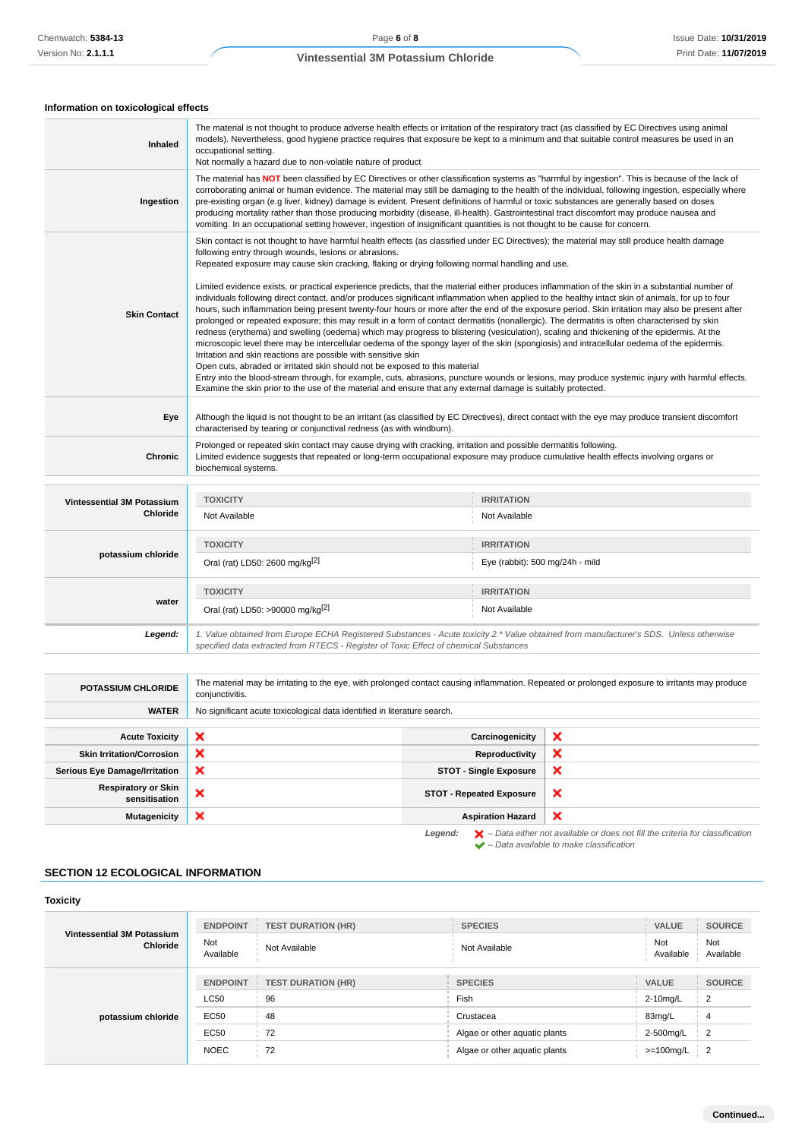## **Information on toxicological effects**

| Inhaled                                       | The material is not thought to produce adverse health effects or irritation of the respiratory tract (as classified by EC Directives using animal<br>models). Nevertheless, good hygiene practice requires that exposure be kept to a minimum and that suitable control measures be used in an<br>occupational setting.<br>Not normally a hazard due to non-volatile nature of product                                                                                                                                                                                                                                                                                                                                                                                                                                                                                                                                                                                                                                                                                                                                                                                                                                                                                                                                     |                                                                                                                                        |  |  |
|-----------------------------------------------|----------------------------------------------------------------------------------------------------------------------------------------------------------------------------------------------------------------------------------------------------------------------------------------------------------------------------------------------------------------------------------------------------------------------------------------------------------------------------------------------------------------------------------------------------------------------------------------------------------------------------------------------------------------------------------------------------------------------------------------------------------------------------------------------------------------------------------------------------------------------------------------------------------------------------------------------------------------------------------------------------------------------------------------------------------------------------------------------------------------------------------------------------------------------------------------------------------------------------------------------------------------------------------------------------------------------------|----------------------------------------------------------------------------------------------------------------------------------------|--|--|
| Ingestion                                     | The material has NOT been classified by EC Directives or other classification systems as "harmful by ingestion". This is because of the lack of<br>corroborating animal or human evidence. The material may still be damaging to the health of the individual, following ingestion, especially where<br>pre-existing organ (e.g liver, kidney) damage is evident. Present definitions of harmful or toxic substances are generally based on doses<br>producing mortality rather than those producing morbidity (disease, ill-health). Gastrointestinal tract discomfort may produce nausea and<br>vomiting. In an occupational setting however, ingestion of insignificant quantities is not thought to be cause for concern.                                                                                                                                                                                                                                                                                                                                                                                                                                                                                                                                                                                              |                                                                                                                                        |  |  |
|                                               | Skin contact is not thought to have harmful health effects (as classified under EC Directives); the material may still produce health damage<br>following entry through wounds, lesions or abrasions.<br>Repeated exposure may cause skin cracking, flaking or drying following normal handling and use.                                                                                                                                                                                                                                                                                                                                                                                                                                                                                                                                                                                                                                                                                                                                                                                                                                                                                                                                                                                                                   |                                                                                                                                        |  |  |
| <b>Skin Contact</b>                           | Limited evidence exists, or practical experience predicts, that the material either produces inflammation of the skin in a substantial number of<br>individuals following direct contact, and/or produces significant inflammation when applied to the healthy intact skin of animals, for up to four<br>hours, such inflammation being present twenty-four hours or more after the end of the exposure period. Skin irritation may also be present after<br>prolonged or repeated exposure; this may result in a form of contact dermatitis (nonallergic). The dermatitis is often characterised by skin<br>redness (erythema) and swelling (oedema) which may progress to blistering (vesiculation), scaling and thickening of the epidermis. At the<br>microscopic level there may be intercellular oedema of the spongy layer of the skin (spongiosis) and intracellular oedema of the epidermis.<br>Irritation and skin reactions are possible with sensitive skin<br>Open cuts, abraded or irritated skin should not be exposed to this material<br>Entry into the blood-stream through, for example, cuts, abrasions, puncture wounds or lesions, may produce systemic injury with harmful effects.<br>Examine the skin prior to the use of the material and ensure that any external damage is suitably protected. |                                                                                                                                        |  |  |
| Eye                                           | Although the liquid is not thought to be an irritant (as classified by EC Directives), direct contact with the eye may produce transient discomfort<br>characterised by tearing or conjunctival redness (as with windburn).                                                                                                                                                                                                                                                                                                                                                                                                                                                                                                                                                                                                                                                                                                                                                                                                                                                                                                                                                                                                                                                                                                |                                                                                                                                        |  |  |
| <b>Chronic</b>                                | Prolonged or repeated skin contact may cause drying with cracking, irritation and possible dermatitis following.<br>Limited evidence suggests that repeated or long-term occupational exposure may produce cumulative health effects involving organs or<br>biochemical systems.                                                                                                                                                                                                                                                                                                                                                                                                                                                                                                                                                                                                                                                                                                                                                                                                                                                                                                                                                                                                                                           |                                                                                                                                        |  |  |
|                                               |                                                                                                                                                                                                                                                                                                                                                                                                                                                                                                                                                                                                                                                                                                                                                                                                                                                                                                                                                                                                                                                                                                                                                                                                                                                                                                                            |                                                                                                                                        |  |  |
| Vintessential 3M Potassium<br><b>Chloride</b> | <b>TOXICITY</b><br>Not Available                                                                                                                                                                                                                                                                                                                                                                                                                                                                                                                                                                                                                                                                                                                                                                                                                                                                                                                                                                                                                                                                                                                                                                                                                                                                                           | <b>IRRITATION</b><br>Not Available                                                                                                     |  |  |
|                                               | <b>TOXICITY</b>                                                                                                                                                                                                                                                                                                                                                                                                                                                                                                                                                                                                                                                                                                                                                                                                                                                                                                                                                                                                                                                                                                                                                                                                                                                                                                            | <b>IRRITATION</b>                                                                                                                      |  |  |
| potassium chloride                            | Oral (rat) LD50: 2600 mg/kg <sup>[2]</sup>                                                                                                                                                                                                                                                                                                                                                                                                                                                                                                                                                                                                                                                                                                                                                                                                                                                                                                                                                                                                                                                                                                                                                                                                                                                                                 | Eye (rabbit): 500 mg/24h - mild                                                                                                        |  |  |
|                                               | <b>TOXICITY</b>                                                                                                                                                                                                                                                                                                                                                                                                                                                                                                                                                                                                                                                                                                                                                                                                                                                                                                                                                                                                                                                                                                                                                                                                                                                                                                            | <b>IRRITATION</b>                                                                                                                      |  |  |
| water                                         | Oral (rat) LD50: >90000 mg/kg <sup>[2]</sup>                                                                                                                                                                                                                                                                                                                                                                                                                                                                                                                                                                                                                                                                                                                                                                                                                                                                                                                                                                                                                                                                                                                                                                                                                                                                               | Not Available                                                                                                                          |  |  |
| Legend:                                       | specified data extracted from RTECS - Register of Toxic Effect of chemical Substances                                                                                                                                                                                                                                                                                                                                                                                                                                                                                                                                                                                                                                                                                                                                                                                                                                                                                                                                                                                                                                                                                                                                                                                                                                      | 1. Value obtained from Europe ECHA Registered Substances - Acute toxicity 2.* Value obtained from manufacturer's SDS. Unless otherwise |  |  |

| <b>POTASSIUM CHLORIDE</b>                                                                                     | The material may be irritating to the eye, with prolonged contact causing inflammation. Repeated or prolonged exposure to irritants may produce<br>conjunctivitis. |                                                       |                           |  |
|---------------------------------------------------------------------------------------------------------------|--------------------------------------------------------------------------------------------------------------------------------------------------------------------|-------------------------------------------------------|---------------------------|--|
| <b>WATER</b>                                                                                                  | No significant acute toxicological data identified in literature search.                                                                                           |                                                       |                           |  |
|                                                                                                               |                                                                                                                                                                    |                                                       |                           |  |
| <b>Acute Toxicity</b>                                                                                         | ×                                                                                                                                                                  | Carcinogenicity                                       | ×                         |  |
| <b>Skin Irritation/Corrosion</b>                                                                              | ×                                                                                                                                                                  | Reproductivity                                        | ×                         |  |
| <b>Serious Eye Damage/Irritation</b>                                                                          | ×                                                                                                                                                                  | <b>STOT - Single Exposure</b><br>ж                    |                           |  |
| <b>Respiratory or Skin</b><br>sensitisation                                                                   | ×                                                                                                                                                                  | <b>STOT - Repeated Exposure</b>                       | $\boldsymbol{\mathsf{x}}$ |  |
| <b>Mutagenicity</b>                                                                                           | ×                                                                                                                                                                  | $\boldsymbol{\mathsf{x}}$<br><b>Aspiration Hazard</b> |                           |  |
| $\blacktriangleright$ - Data either not available or does not fill the criteria for classification<br>Legend: |                                                                                                                                                                    |                                                       |                           |  |

– Data available to make classification

## **SECTION 12 ECOLOGICAL INFORMATION**

H.

| <b>Toxicity</b>                        |                  |                           |                               |                  |                  |
|----------------------------------------|------------------|---------------------------|-------------------------------|------------------|------------------|
| Vintessential 3M Potassium<br>Chloride | <b>ENDPOINT</b>  | <b>TEST DURATION (HR)</b> | <b>SPECIES</b>                | VALUE            | <b>SOURCE</b>    |
|                                        | Not<br>Available | Not Available             | Not Available                 | Not<br>Available | Not<br>Available |
| potassium chloride                     | <b>ENDPOINT</b>  | <b>TEST DURATION (HR)</b> | <b>SPECIES</b>                | <b>VALUE</b>     | <b>SOURCE</b>    |
|                                        | <b>LC50</b>      | 96                        | Fish                          | 2-10mg/L         | $\overline{2}$   |
|                                        | EC50             | 48                        | Crustacea                     | 83mg/L           | 4                |
|                                        | EC50             | 72                        | Algae or other aquatic plants | 2-500mg/L        | $\overline{2}$   |
|                                        | <b>NOEC</b>      | 72                        | Algae or other aquatic plants | $>=100$ mg/L     | $\overline{2}$   |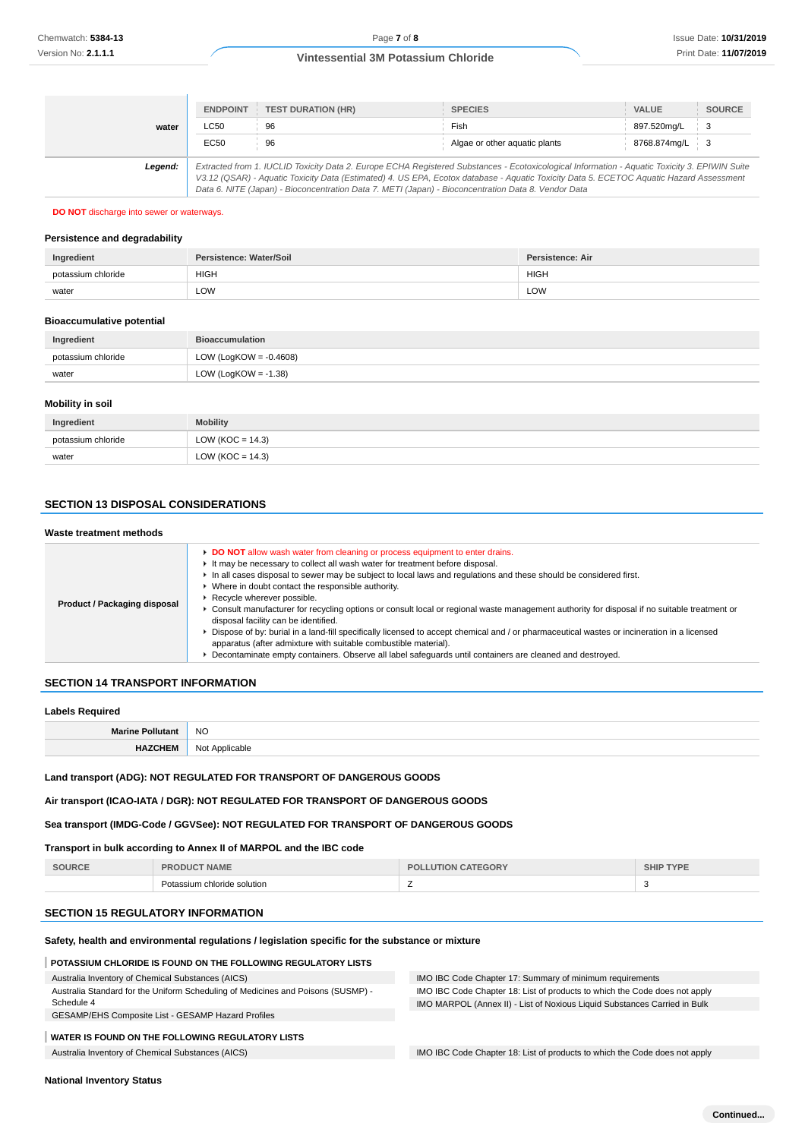|         | <b>ENDPOINT</b>                                                                                                                                                                                                                                                                                                                                                                                 | <b>TEST DURATION (HR)</b> | <b>SPECIES</b>                | <b>VALUE</b> | <b>SOURCE</b>              |
|---------|-------------------------------------------------------------------------------------------------------------------------------------------------------------------------------------------------------------------------------------------------------------------------------------------------------------------------------------------------------------------------------------------------|---------------------------|-------------------------------|--------------|----------------------------|
| water   | LC50                                                                                                                                                                                                                                                                                                                                                                                            | 96                        | Fish                          | 897.520mg/L  | $\frac{1}{2}$ 3            |
|         | EC50                                                                                                                                                                                                                                                                                                                                                                                            | 96                        | Algae or other aquatic plants | 8768.874mg/L | $\overline{\phantom{0}}$ 3 |
| Legend: | Extracted from 1. IUCLID Toxicity Data 2. Europe ECHA Registered Substances - Ecotoxicological Information - Aquatic Toxicity 3. EPIWIN Suite<br>V3.12 (QSAR) - Aquatic Toxicity Data (Estimated) 4. US EPA, Ecotox database - Aquatic Toxicity Data 5. ECETOC Aquatic Hazard Assessment<br>Data 6. NITE (Japan) - Bioconcentration Data 7. METI (Japan) - Bioconcentration Data 8. Vendor Data |                           |                               |              |                            |

#### **DO NOT** discharge into sewer or waterways.

#### **Persistence and degradability**

| Ingredient         | Persistence: Water/Soil | <b>Persistence: Air</b> |
|--------------------|-------------------------|-------------------------|
| potassium chloride | <b>HIGH</b>             | <b>HIGH</b>             |
| water              | LOW                     | LOW                     |

#### **Bioaccumulative potential**

| Ingredient         | <b>Bioaccumulation</b>    |  |
|--------------------|---------------------------|--|
| potassium chloride | LOW (LogKOW = $-0.4608$ ) |  |
| water              | LOW (LogKOW = $-1.38$ )   |  |

#### **Mobility in soil**

| Ingredient         | <b>Mobility</b>      |
|--------------------|----------------------|
| potassium chloride | LOW ( $KOC = 14.3$ ) |
| water              | LOW (KOC = $14.3$ )  |

#### **SECTION 13 DISPOSAL CONSIDERATIONS**

#### **Waste treatment methods**

| DO NOT allow wash water from cleaning or process equipment to enter drains.<br>It may be necessary to collect all wash water for treatment before disposal.<br>In all cases disposal to sewer may be subject to local laws and regulations and these should be considered first.<br>• Where in doubt contact the responsible authority.<br>▶ Recycle wherever possible.<br>Product / Packaging disposal<br>• Consult manufacturer for recycling options or consult local or regional waste management authority for disposal if no suitable treatment or<br>disposal facility can be identified.<br>▶ Dispose of by: burial in a land-fill specifically licensed to accept chemical and / or pharmaceutical wastes or incineration in a licensed<br>apparatus (after admixture with suitable combustible material).<br>Decontaminate empty containers. Observe all label safeguards until containers are cleaned and destroyed. |  |
|---------------------------------------------------------------------------------------------------------------------------------------------------------------------------------------------------------------------------------------------------------------------------------------------------------------------------------------------------------------------------------------------------------------------------------------------------------------------------------------------------------------------------------------------------------------------------------------------------------------------------------------------------------------------------------------------------------------------------------------------------------------------------------------------------------------------------------------------------------------------------------------------------------------------------------|--|

#### **SECTION 14 TRANSPORT INFORMATION**

#### **Labels Required**

| Mo<br>տո<br>IVIC | <b>NO</b>            |
|------------------|----------------------|
| .                | nnl<br>N01<br>n<br>. |

### **Land transport (ADG): NOT REGULATED FOR TRANSPORT OF DANGEROUS GOODS**

**Air transport (ICAO-IATA / DGR): NOT REGULATED FOR TRANSPORT OF DANGEROUS GOODS**

## **Sea transport (IMDG-Code / GGVSee): NOT REGULATED FOR TRANSPORT OF DANGEROUS GOODS**

### **Transport in bulk according to Annex II of MARPOL and the IBC code**

| SOURCE | <br>81 A B<br>the contract of the contract of the contract of | <b>DRY</b><br>DГ | the contract of the contract of the contract of the contract of the contract of |
|--------|---------------------------------------------------------------|------------------|---------------------------------------------------------------------------------|
|        | n chloride solution                                           | $\sim$<br>-      |                                                                                 |

## **SECTION 15 REGULATORY INFORMATION**

### **Safety, health and environmental regulations / legislation specific for the substance or mixture**

### **POTASSIUM CHLORIDE IS FOUND ON THE FOLLOWING REGULATORY LISTS**

### Australia Inventory of Chemical Substances (AICS)

| Australia Inventory of Chemical Substances (AICS)                                | IMO IBC Code Chapter 17: Summary of minimum requirements                   |
|----------------------------------------------------------------------------------|----------------------------------------------------------------------------|
| Australia Standard for the Uniform Scheduling of Medicines and Poisons (SUSMP) - | IMO IBC Code Chapter 18: List of products to which the Code does not apply |
| Schedule 4                                                                       | IMO MARPOL (Annex II) - List of Noxious Liquid Substances Carried in Bulk  |
| GESAMP/EHS Composite List - GESAMP Hazard Profiles                               |                                                                            |
|                                                                                  |                                                                            |

## **WATER IS FOUND ON THE FOLLOWING REGULATORY LISTS**

Australia Inventory of Chemical Substances (AICS) **IMO IBC Code Chapter 18:** List of products to which the Code does not apply

**National Inventory Status**